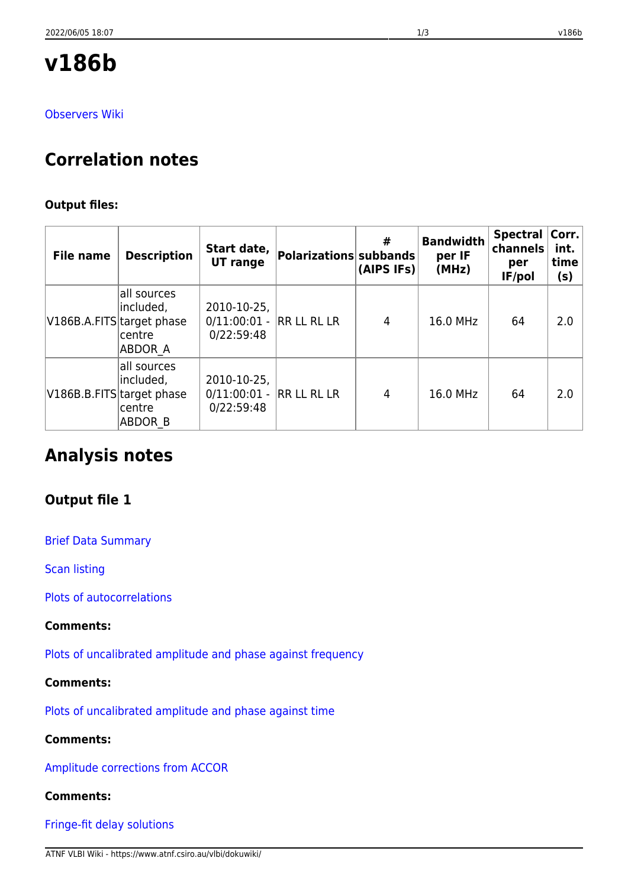# **v186b**

[Observers Wiki](http://www.atnf.csiro.au/vlbi/wiki/index.php?n=LBAOct2010.V186B)

# **Correlation notes**

# **Output files:**

| <b>File name</b>          | <b>Description</b>                                   | Start date,<br>UT range                               | Polarizations subbands | #<br>(AIPS IFs) | <b>Bandwidth</b><br>per IF<br>(MHz) | <b>Spectral</b><br>channels<br>per<br>IF/pol | Corr. <br>int.<br>time<br>(s) |
|---------------------------|------------------------------------------------------|-------------------------------------------------------|------------------------|-----------------|-------------------------------------|----------------------------------------------|-------------------------------|
| V186B.A.FITS target phase | all sources<br>included,<br>centre<br>ABDOR A        | 2010-10-25,<br>0/11:00:01 - RR LL RL LR<br>0/22:59:48 |                        | 4               | 16.0 MHz                            | 64                                           | 2.0                           |
| V186B.B.FITS target phase | all sources<br>included,<br>centre<br><b>ABDOR B</b> | 2010-10-25,<br>0/11:00:01 - RR LL RL LR<br>0/22:59:48 |                        | 4               | 16.0 MHz                            | 64                                           | 2.0                           |

# **Analysis notes**

# **Output file 1**

[Brief Data Summary](ftp://ftp.atnf.csiro.au/pub/people/vlbi/pipeline/v186b/v186b1.DTSUM)

[Scan listing](ftp://ftp.atnf.csiro.au/pub/people/vlbi/pipeline/v186b/v186b1.SCAN)

[Plots of autocorrelations](ftp://ftp.atnf.csiro.au/pub/people/vlbi/pipeline/v186b/v186b1_POSSM_AUTOCORR.pdf)

# **Comments:**

[Plots of uncalibrated amplitude and phase against frequency](ftp://ftp.atnf.csiro.au/pub/people/vlbi/pipeline/v186b/v186b1_POSSM_UNCAL.pdf)

# **Comments:**

[Plots of uncalibrated amplitude and phase against time](ftp://ftp.atnf.csiro.au/pub/people/vlbi/pipeline/v186b/v186b1_VPLOT_UNCAL.pdf)

# **Comments:**

[Amplitude corrections from ACCOR](ftp://ftp.atnf.csiro.au/pub/people/vlbi/pipeline/v186b/v186b1_ACCOR.pdf)

# **Comments:**

[Fringe-fit delay solutions](ftp://ftp.atnf.csiro.au/pub/people/vlbi/pipeline/v186b/v186b1_FRING_DELAY.pdf)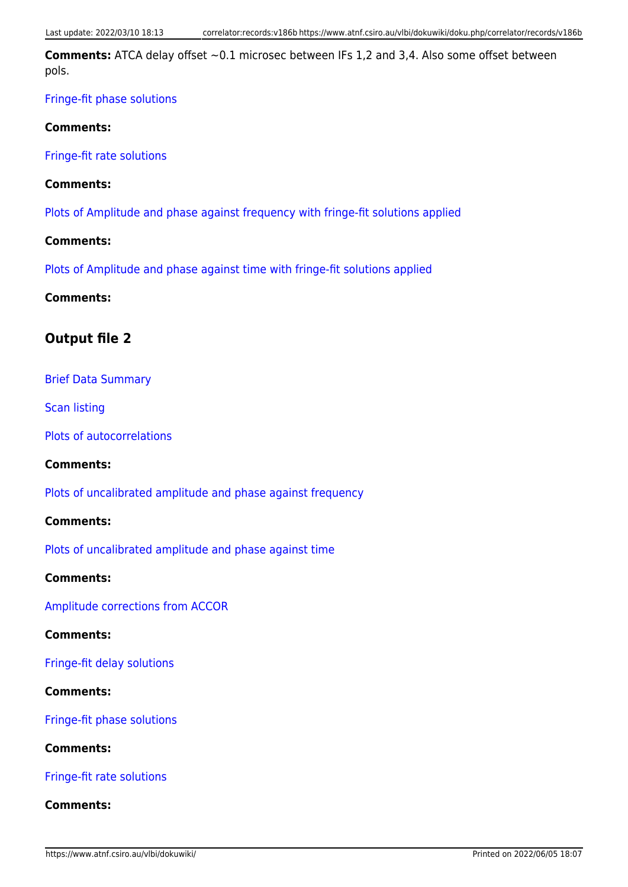**Comments:** ATCA delay offset ~0.1 microsec between IFs 1,2 and 3,4. Also some offset between pols.

# [Fringe-fit phase solutions](ftp://ftp.atnf.csiro.au/pub/people/vlbi/pipeline/v186b/v186b1_FRING_PHAS.pdf)

#### **Comments:**

[Fringe-fit rate solutions](ftp://ftp.atnf.csiro.au/pub/people/vlbi/pipeline/v186b/v186b1_FRING_RATE.pdf)

### **Comments:**

[Plots of Amplitude and phase against frequency with fringe-fit solutions applied](ftp://ftp.atnf.csiro.au/pub/people/vlbi/pipeline/v186b/v186b1_POSSM_CAL.pdf)

### **Comments:**

[Plots of Amplitude and phase against time with fringe-fit solutions applied](ftp://ftp.atnf.csiro.au/pub/people/vlbi/pipeline/v186b/v186b1_VPLOT_CAL.pdf)

# **Comments:**

# **Output file 2**

### [Brief Data Summary](ftp://ftp.atnf.csiro.au/pub/people/vlbi/pipeline/v186b/v186b2.DTSUM)

[Scan listing](ftp://ftp.atnf.csiro.au/pub/people/vlbi/pipeline/v186b/v186b2.SCAN)

[Plots of autocorrelations](ftp://ftp.atnf.csiro.au/pub/people/vlbi/pipeline/v186b/v186b2_POSSM_AUTOCORR.pdf)

#### **Comments:**

[Plots of uncalibrated amplitude and phase against frequency](ftp://ftp.atnf.csiro.au/pub/people/vlbi/pipeline/v186b/v186b2_POSSM_UNCAL.pdf)

#### **Comments:**

[Plots of uncalibrated amplitude and phase against time](ftp://ftp.atnf.csiro.au/pub/people/vlbi/pipeline/v186b/v186b2_VPLOT_UNCAL.pdf)

#### **Comments:**

[Amplitude corrections from ACCOR](ftp://ftp.atnf.csiro.au/pub/people/vlbi/pipeline/v186b/v186b2_ACCOR.pdf)

#### **Comments:**

[Fringe-fit delay solutions](ftp://ftp.atnf.csiro.au/pub/people/vlbi/pipeline/v186b/v186b2_FRING_DELAY.pdf)

# **Comments:**

[Fringe-fit phase solutions](ftp://ftp.atnf.csiro.au/pub/people/vlbi/pipeline/v186b/v186b2_FRING_PHAS.pdf)

#### **Comments:**

[Fringe-fit rate solutions](ftp://ftp.atnf.csiro.au/pub/people/vlbi/pipeline/v186b/v186b2_FRING_RATE.pdf)

### **Comments:**